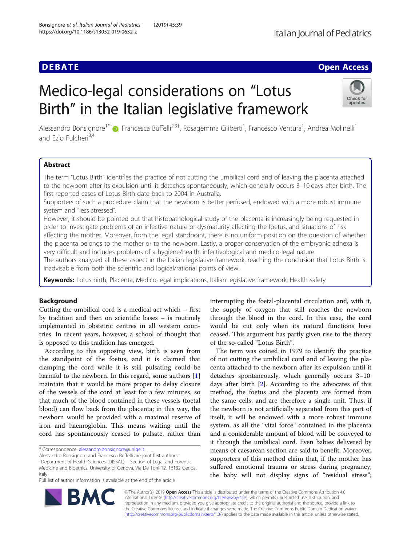## **DEBATE CONSERVATION**

# Medico-legal considerations on "Lotus Birth" in the Italian legislative framework



Alessandro Bonsignore<sup>1\*†</sup>®[,](http://orcid.org/0000-0001-6616-0347) Francesca Buffelli<sup>2,3†</sup>, Rosagemma Ciliberti<sup>1</sup>, Francesco Ventura<sup>1</sup>, Andrea Molinelli<sup>1</sup> and Fzio Fulcheri<sup>3,4</sup>

### Abstract

The term "Lotus Birth" identifies the practice of not cutting the umbilical cord and of leaving the placenta attached to the newborn after its expulsion until it detaches spontaneously, which generally occurs 3–10 days after birth. The first reported cases of Lotus Birth date back to 2004 in Australia.

Supporters of such a procedure claim that the newborn is better perfused, endowed with a more robust immune system and "less stressed".

However, it should be pointed out that histopathological study of the placenta is increasingly being requested in order to investigate problems of an infective nature or dysmaturity affecting the foetus, and situations of risk affecting the mother. Moreover, from the legal standpoint, there is no uniform position on the question of whether the placenta belongs to the mother or to the newborn. Lastly, a proper conservation of the embryonic adnexa is very difficult and includes problems of a hygiene/health, infectivological and medico-legal nature.

The authors analyzed all these aspect in the Italian legislative framework, reaching the conclusion that Lotus Birth is inadvisable from both the scientific and logical/rational points of view.

Keywords: Lotus birth, Placenta, Medico-legal implications, Italian legislative framework, Health safety

### Background

Cutting the umbilical cord is a medical act which – first by tradition and then on scientific bases – is routinely implemented in obstetric centres in all western countries. In recent years, however, a school of thought that is opposed to this tradition has emerged.

According to this opposing view, birth is seen from the standpoint of the foetus, and it is claimed that clamping the cord while it is still pulsating could be harmful to the newborn. In this regard, some authors [\[1](#page-4-0)] maintain that it would be more proper to delay closure of the vessels of the cord at least for a few minutes, so that much of the blood contained in these vessels (foetal blood) can flow back from the placenta; in this way, the newborn would be provided with a maximal reserve of iron and haemoglobin. This means waiting until the cord has spontaneously ceased to pulsate, rather than

<sup>1</sup>Department of Health Sciences (DISSAL) – Section of Legal and Forensic Medicine and Bioethics, University of Genova, Via De Toni 12, 16132 Genoa, Italy

Full list of author information is available at the end of the article

interrupting the foetal-placental circulation and, with it, the supply of oxygen that still reaches the newborn through the blood in the cord. In this case, the cord would be cut only when its natural functions have ceased. This argument has partly given rise to the theory of the so-called "Lotus Birth".

The term was coined in 1979 to identify the practice of not cutting the umbilical cord and of leaving the placenta attached to the newborn after its expulsion until it detaches spontaneously, which generally occurs 3–10 days after birth [[2\]](#page-4-0). According to the advocates of this method, the foetus and the placenta are formed from the same cells, and are therefore a single unit. Thus, if the newborn is not artificially separated from this part of itself, it will be endowed with a more robust immune system, as all the "vital force" contained in the placenta and a considerable amount of blood will be conveyed to it through the umbilical cord. Even babies delivered by means of caesarean section are said to benefit. Moreover, supporters of this method claim that, if the mother has suffered emotional trauma or stress during pregnancy, the baby will not display signs of "residual stress";



© The Author(s). 2019 Open Access This article is distributed under the terms of the Creative Commons Attribution 4.0 International License [\(http://creativecommons.org/licenses/by/4.0/](http://creativecommons.org/licenses/by/4.0/)), which permits unrestricted use, distribution, and reproduction in any medium, provided you give appropriate credit to the original author(s) and the source, provide a link to the Creative Commons license, and indicate if changes were made. The Creative Commons Public Domain Dedication waiver [\(http://creativecommons.org/publicdomain/zero/1.0/](http://creativecommons.org/publicdomain/zero/1.0/)) applies to the data made available in this article, unless otherwise stated.

<sup>\*</sup> Correspondence: [alessandro.bonsignore@unige.it](mailto:alessandro.bonsignore@unige.it)

Alessandro Bonsignore and Francesca Buffelli are joint first authors.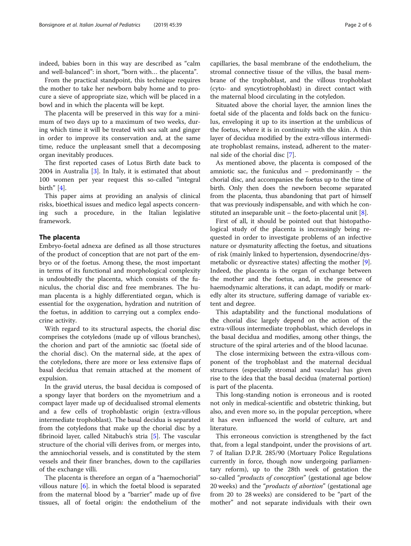indeed, babies born in this way are described as "calm and well-balanced": in short, "born with… the placenta".

From the practical standpoint, this technique requires the mother to take her newborn baby home and to procure a sieve of appropriate size, which will be placed in a bowl and in which the placenta will be kept.

The placenta will be preserved in this way for a minimum of two days up to a maximum of two weeks, during which time it will be treated with sea salt and ginger in order to improve its conservation and, at the same time, reduce the unpleasant smell that a decomposing organ inevitably produces.

The first reported cases of Lotus Birth date back to 2004 in Australia [\[3](#page-4-0)]. In Italy, it is estimated that about 100 women per year request this so-called "integral birth" [\[4](#page-4-0)].

This paper aims at providing an analysis of clinical risks, bioethical issues and medico legal aspects concerning such a procedure, in the Italian legislative framework.

### The placenta

Embryo-foetal adnexa are defined as all those structures of the product of conception that are not part of the embryo or of the foetus. Among these, the most important in terms of its functional and morphological complexity is undoubtedly the placenta, which consists of the funiculus, the chorial disc and free membranes. The human placenta is a highly differentiated organ, which is essential for the oxygenation, hydration and nutrition of the foetus, in addition to carrying out a complex endocrine activity.

With regard to its structural aspects, the chorial disc comprises the cotyledons (made up of villous branches), the chorion and part of the amniotic sac (foetal side of the chorial disc). On the maternal side, at the apex of the cotyledons, there are more or less extensive flaps of basal decidua that remain attached at the moment of expulsion.

In the gravid uterus, the basal decidua is composed of a spongy layer that borders on the myometrium and a compact layer made up of decidualised stromal elements and a few cells of trophoblastic origin (extra-villous intermediate trophoblast). The basal decidua is separated from the cotyledons that make up the chorial disc by a fibrinoid layer, called Nitabuch's stria [[5\]](#page-4-0). The vascular structure of the chorial villi derives from, or merges into, the amniochorial vessels, and is constituted by the stem vessels and their finer branches, down to the capillaries of the exchange villi.

The placenta is therefore an organ of a "haemochorial" villous nature [[6\]](#page-4-0). in which the foetal blood is separated from the maternal blood by a "barrier" made up of five tissues, all of foetal origin: the endothelium of the capillaries, the basal membrane of the endothelium, the stromal connective tissue of the villus, the basal membrane of the trophoblast, and the villous trophoblast (cyto- and syncytiotrophoblast) in direct contact with the maternal blood circulating in the cotyledon.

Situated above the chorial layer, the amnion lines the foetal side of the placenta and folds back on the funiculus, enveloping it up to its insertion at the umbilicus of the foetus, where it is in continuity with the skin. A thin layer of decidua modified by the extra-villous intermediate trophoblast remains, instead, adherent to the maternal side of the chorial disc [[7\]](#page-4-0).

As mentioned above, the placenta is composed of the amniotic sac, the funiculus and – predominantly – the chorial disc, and accompanies the foetus up to the time of birth. Only then does the newborn become separated from the placenta, thus abandoning that part of himself that was previously indispensable, and with which he constituted an inseparable unit – the foeto-placental unit  $[8]$  $[8]$  $[8]$ .

First of all, it should be pointed out that histopathological study of the placenta is increasingly being requested in order to investigate problems of an infective nature or dysmaturity affecting the foetus, and situations of risk (mainly linked to hypertension, dysendocrine/dysmetabolic or dysreactive states) affecting the mother [\[9](#page-4-0)]. Indeed, the placenta is the organ of exchange between the mother and the foetus, and, in the presence of haemodynamic alterations, it can adapt, modify or markedly alter its structure, suffering damage of variable extent and degree.

This adaptability and the functional modulations of the chorial disc largely depend on the action of the extra-villous intermediate trophoblast, which develops in the basal decidua and modifies, among other things, the structure of the spiral arteries and of the blood lacunae.

The close intermixing between the extra-villous component of the trophoblast and the maternal decidual structures (especially stromal and vascular) has given rise to the idea that the basal decidua (maternal portion) is part of the placenta.

This long-standing notion is erroneous and is rooted not only in medical-scientific and obstetric thinking, but also, and even more so, in the popular perception, where it has even influenced the world of culture, art and literature.

This erroneous conviction is strengthened by the fact that, from a legal standpoint, under the provisions of art. 7 of Italian D.P.R. 285/90 (Mortuary Police Regulations currently in force, though now undergoing parliamentary reform), up to the 28th week of gestation the so-called "products of conception" (gestational age below 20 weeks) and the "*products of abortion*" (gestational age from 20 to 28 weeks) are considered to be "part of the mother" and not separate individuals with their own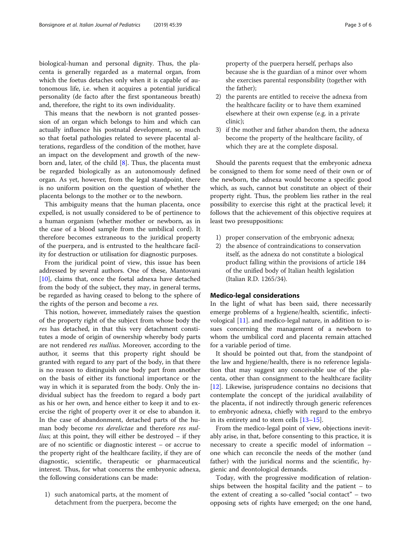biological-human and personal dignity. Thus, the placenta is generally regarded as a maternal organ, from which the foetus detaches only when it is capable of autonomous life, i.e. when it acquires a potential juridical personality (de facto after the first spontaneous breath) and, therefore, the right to its own individuality.

This means that the newborn is not granted possession of an organ which belongs to him and which can actually influence his postnatal development, so much so that foetal pathologies related to severe placental alterations, regardless of the condition of the mother, have an impact on the development and growth of the newborn and, later, of the child [[8\]](#page-4-0). Thus, the placenta must be regarded biologically as an autonomously defined organ. As yet, however, from the legal standpoint, there is no uniform position on the question of whether the placenta belongs to the mother or to the newborn.

This ambiguity means that the human placenta, once expelled, is not usually considered to be of pertinence to a human organism (whether mother or newborn, as in the case of a blood sample from the umbilical cord). It therefore becomes extraneous to the juridical property of the puerpera, and is entrusted to the healthcare facility for destruction or utilisation for diagnostic purposes.

From the juridical point of view, this issue has been addressed by several authors. One of these, Mantovani [[10\]](#page-4-0), claims that, once the foetal adnexa have detached from the body of the subject, they may, in general terms, be regarded as having ceased to belong to the sphere of the rights of the person and become a res.

This notion, however, immediately raises the question of the property right of the subject from whose body the res has detached, in that this very detachment constitutes a mode of origin of ownership whereby body parts are not rendered res nullius. Moreover, according to the author, it seems that this property right should be granted with regard to any part of the body, in that there is no reason to distinguish one body part from another on the basis of either its functional importance or the way in which it is separated from the body. Only the individual subject has the freedom to regard a body part as his or her own, and hence either to keep it and to exercise the right of property over it or else to abandon it. In the case of abandonment, detached parts of the human body become res derelictae and therefore res nullius; at this point, they will either be destroyed – if they are of no scientific or diagnostic interest – or accrue to the property right of the healthcare facility, if they are of diagnostic, scientific, therapeutic or pharmaceutical interest. Thus, for what concerns the embryonic adnexa, the following considerations can be made:

1) such anatomical parts, at the moment of detachment from the puerpera, become the property of the puerpera herself, perhaps also because she is the guardian of a minor over whom she exercises parental responsibility (together with the father);

- 2) the parents are entitled to receive the adnexa from the healthcare facility or to have them examined elsewhere at their own expense (e.g. in a private clinic);
- 3) if the mother and father abandon them, the adnexa become the property of the healthcare facility, of which they are at the complete disposal.

Should the parents request that the embryonic adnexa be consigned to them for some need of their own or of the newborn, the adnexa would become a specific good which, as such, cannot but constitute an object of their property right. Thus, the problem lies rather in the real possibility to exercise this right at the practical level; it follows that the achievement of this objective requires at least two presuppositions:

- 1) proper conservation of the embryonic adnexa;
- 2) the absence of contraindications to conservation itself, as the adnexa do not constitute a biological product falling within the provisions of article 184 of the unified body of Italian health legislation (Italian R.D. 1265/34).

### Medico-legal considerations

In the light of what has been said, there necessarily emerge problems of a hygiene/health, scientific, infectivological [[11\]](#page-4-0). and medico-legal nature, in addition to issues concerning the management of a newborn to whom the umbilical cord and placenta remain attached for a variable period of time.

It should be pointed out that, from the standpoint of the law and hygiene/health, there is no reference legislation that may suggest any conceivable use of the placenta, other than consignment to the healthcare facility [[12\]](#page-4-0). Likewise, jurisprudence contains no decisions that contemplate the concept of the juridical availability of the placenta, if not indirectly through generic references to embryonic adnexa, chiefly with regard to the embryo in its entirety and to stem cells [[13](#page-4-0)–[15](#page-5-0)].

From the medico-legal point of view, objections inevitably arise, in that, before consenting to this practice, it is necessary to create a specific model of information – one which can reconcile the needs of the mother (and father) with the juridical norms and the scientific, hygienic and deontological demands.

Today, with the progressive modification of relationships between the hospital facility and the patient – to the extent of creating a so-called "social contact" – two opposing sets of rights have emerged; on the one hand,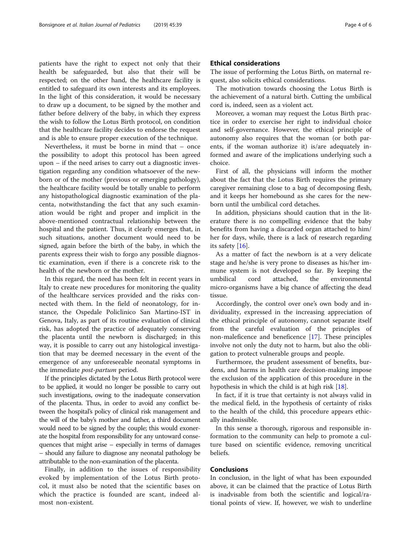patients have the right to expect not only that their health be safeguarded, but also that their will be respected; on the other hand, the healthcare facility is entitled to safeguard its own interests and its employees. In the light of this consideration, it would be necessary to draw up a document, to be signed by the mother and father before delivery of the baby, in which they express the wish to follow the Lotus Birth protocol, on condition that the healthcare facility decides to endorse the request and is able to ensure proper execution of the technique.

Nevertheless, it must be borne in mind that – once the possibility to adopt this protocol has been agreed upon – if the need arises to carry out a diagnostic investigation regarding any condition whatsoever of the newborn or of the mother (previous or emerging pathology), the healthcare facility would be totally unable to perform any histopathological diagnostic examination of the placenta, notwithstanding the fact that any such examination would be right and proper and implicit in the above-mentioned contractual relationship between the hospital and the patient. Thus, it clearly emerges that, in such situations, another document would need to be signed, again before the birth of the baby, in which the parents express their wish to forgo any possible diagnostic examination, even if there is a concrete risk to the health of the newborn or the mother.

In this regard, the need has been felt in recent years in Italy to create new procedures for monitoring the quality of the healthcare services provided and the risks connected with them. In the field of neonatology, for instance, the Ospedale Policlinico San Martino-IST in Genova, Italy, as part of its routine evaluation of clinical risk, has adopted the practice of adequately conserving the placenta until the newborn is discharged; in this way, it is possible to carry out any histological investigation that may be deemed necessary in the event of the emergence of any unforeseeable neonatal symptoms in the immediate post-partum period.

If the principles dictated by the Lotus Birth protocol were to be applied, it would no longer be possible to carry out such investigations, owing to the inadequate conservation of the placenta. Thus, in order to avoid any conflict between the hospital's policy of clinical risk management and the will of the baby's mother and father, a third document would need to be signed by the couple; this would exonerate the hospital from responsibility for any untoward consequences that might arise – especially in terms of damages – should any failure to diagnose any neonatal pathology be attributable to the non-examination of the placenta.

Finally, in addition to the issues of responsibility evoked by implementation of the Lotus Birth protocol, it must also be noted that the scientific bases on which the practice is founded are scant, indeed almost non-existent.

### Ethical considerations

The issue of performing the Lotus Birth, on maternal request, also solicits ethical considerations.

The motivation towards choosing the Lotus Birth is the achievement of a natural birth. Cutting the umbilical cord is, indeed, seen as a violent act.

Moreover, a woman may request the Lotus Birth practice in order to exercise her right to individual choice and self-governance. However, the ethical principle of autonomy also requires that the woman (or both parents, if the woman authorize it) is/are adequately informed and aware of the implications underlying such a choice.

First of all, the physicians will inform the mother about the fact that the Lotus Birth requires the primary caregiver remaining close to a bag of decomposing flesh, and it keeps her homebound as she cares for the newborn until the umbilical cord detaches.

In addition, physicians should caution that in the literature there is no compelling evidence that the baby benefits from having a discarded organ attached to him/ her for days, while, there is a lack of research regarding its safety [\[16](#page-5-0)].

As a matter of fact the newborn is at a very delicate stage and he/she is very prone to diseases as his/her immune system is not developed so far. By keeping the umbilical cord attached, the environmental micro-organisms have a big chance of affecting the dead tissue.

Accordingly, the control over one's own body and individuality, expressed in the increasing appreciation of the ethical principle of autonomy, cannot separate itself from the careful evaluation of the principles of non-maleficence and beneficence [[17\]](#page-5-0). These principles involve not only the duty not to harm, but also the obligation to protect vulnerable groups and people.

Furthermore, the prudent assessment of benefits, burdens, and harms in health care decision-making impose the exclusion of the application of this procedure in the hypothesis in which the child is at high risk [[18](#page-5-0)].

In fact, if it is true that certainty is not always valid in the medical field, in the hypothesis of certainty of risks to the health of the child, this procedure appears ethically inadmissible.

In this sense a thorough, rigorous and responsible information to the community can help to promote a culture based on scientific evidence, removing uncritical beliefs.

### Conclusions

In conclusion, in the light of what has been expounded above, it can be claimed that the practice of Lotus Birth is inadvisable from both the scientific and logical/rational points of view. If, however, we wish to underline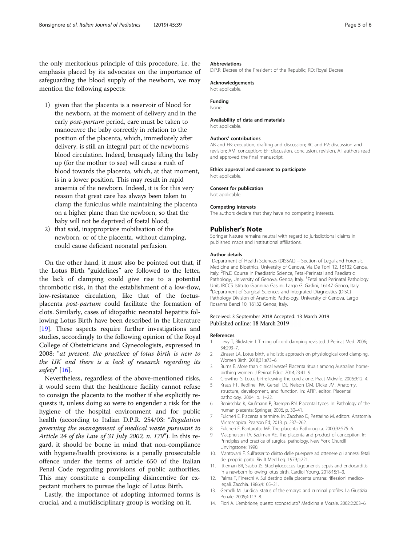<span id="page-4-0"></span>the only meritorious principle of this procedure, i.e. the emphasis placed by its advocates on the importance of safeguarding the blood supply of the newborn, we may mention the following aspects:

- 1) given that the placenta is a reservoir of blood for the newborn, at the moment of delivery and in the early *post-partum* period, care must be taken to manoeuvre the baby correctly in relation to the position of the placenta, which, immediately after delivery, is still an integral part of the newborn's blood circulation. Indeed, brusquely lifting the baby up (for the mother to see) will cause a rush of blood towards the placenta, which, at that moment, is in a lower position. This may result in rapid anaemia of the newborn. Indeed, it is for this very reason that great care has always been taken to clamp the funiculus while maintaining the placenta on a higher plane than the newborn, so that the baby will not be deprived of foetal blood;
- 2) that said, inappropriate mobilisation of the newborn, or of the placenta, without clamping, could cause deficient neonatal perfusion.

On the other hand, it must also be pointed out that, if the Lotus Birth "guidelines" are followed to the letter, the lack of clamping could give rise to a potential thrombotic risk, in that the establishment of a low-flow, low-resistance circulation, like that of the foetusplacenta post-partum could facilitate the formation of clots. Similarly, cases of idiopathic neonatal hepatitis following Lotus Birth have been described in the Literature [[19\]](#page-5-0). These aspects require further investigations and studies, accordingly to the following opinion of the Royal College of Obstetricians and Gynecologists, expressed in 2008: "at present, the practicee of lotus birth is new to the UK and there is a lack of research regarding its safety" [\[16\]](#page-5-0).

Nevertheless, regardless of the above-mentioned risks, it would seem that the healthcare facility cannot refuse to consign the placenta to the mother if she explicitly requests it, unless doing so were to engender a risk for the hygiene of the hospital environment and for public health (according to Italian D.P.R. 254/03: "Regulation governing the management of medical waste pursuant to Article 24 of the Law of 31 July 2002, n. 179"). In this regard, it should be borne in mind that non-compliance with hygiene/health provisions is a penally prosecutable offence under the terms of article 650 of the Italian Penal Code regarding provisions of public authorities. This may constitute a compelling disincentive for expectant mothers to pursue the logic of Lotus Birth.

Lastly, the importance of adopting informed forms is crucial, and a mutidisciplinary group is working on it.

### Abbreviations

D.P.R: Decree of the President of the Republic; RD: Royal Decree

### Acknowledgements

Not applicable

#### Funding None.

### Availability of data and materials

Not applicable

### Authors' contributions

AB and FB: execution, drafting and discussion; RC and FV: discussion and revision; AM: conception; EF: discussion, conclusion, revision. All authors read and approved the final manuscript.

### Ethics approval and consent to participate

Not applicable.

#### Consent for publication

Not applicable.

#### Competing interests

The authors declare that they have no competing interests.

### Publisher's Note

Springer Nature remains neutral with regard to jurisdictional claims in published maps and institutional affiliations.

### Author details

<sup>1</sup>Department of Health Sciences (DISSAL) - Section of Legal and Forensic Medicine and Bioethics, University of Genova, Via De Toni 12, 16132 Genoa, Italy. <sup>2</sup>Ph.D Course in Paediatric Science, Fetal-Perinatal and Paediatric Pathology, University of Genova, Genoa, Italy. <sup>3</sup>Fetal and Perinatal Pathology Unit, IRCCS Istituto Giannina Gaslini, Largo G. Gaslini, 16147 Genoa, Italy. 4 Department of Surgical Sciences and Integrated Diagnostics (DISC) – Pathology Division of Anatomic Pathology, University of Genova, Largo Rosanna Benzi 10, 16132 Genoa, Italy.

### Received: 3 September 2018 Accepted: 13 March 2019 Published online: 18 March 2019

### References

- 1. Levy T, Blickstein I. Timing of cord clamping revisited. J Perinat Med. 2006; 34:293–7.
- 2. Zinsser LA. Lotus birth, a holistic approach on physiological cord clamping. Women Birth. 2018;31:e73–6.
- 3. Burns E. More than clinical waste? Placenta rituals among Australian homebirthing women. J Perinat Educ. 2014;23:41–9.
- 4. Crowther S. Lotus birth: leaving the cord alone. Pract Midwife. 2006;9:12–4.
- 5. Kraus FT, Redline RW, Gersell DJ, Nelson DM, Dicke JM. Anatomy, structure, development, and function. In: AFIP, editor. Placental pathology. 2004. p. 1–22.
- 6. Benirschke K, Kaufmann P, Baergen RN. Placental types. In: Pathology of the human placenta: Springer; 2006. p. 30–41.
- 7. Fulcheri E. Placenta a termine. In: Zaccheo D, Pestarino M, editors. Anatomia Microscopica. Pearson Ed; 2013. p. 237–262.
- 8. Fulcheri E, Pantarotto MF. The placenta. Pathologica. 2000;92:575–6.
- 9. Macpherson TA, Szulman AE. The placenta and product of conception. In: Principles and practice of surgical pathology. New York: Churcill Linvingstone; 1990.
- 10. Mantovani F. Sull'asserito diritto delle puerpere ad ottenere gli annessi fetali del proprio parto. Riv It Med Leg. 1979;1:221.
- 11. Ittleman BR, Szabo JS. Staphylococcus lugdunensis sepsis and endocarditis in a newborn following lotus birth. Cardiol Young. 2018;15:1–3.
- 12. Palma T, Fineschi V. Sul destino della placenta umana: riflessioni medicolegali. Zacchia. 1986;4:105–21.
- 13. Gemelli M. Juridical status of the embryo and criminal profiles. La Giustizia Penale. 2005;4:113–8.
- 14. Fiori A. L'embrione, questo sconosciuto? Medicina e Morale. 2002;2:203–6.